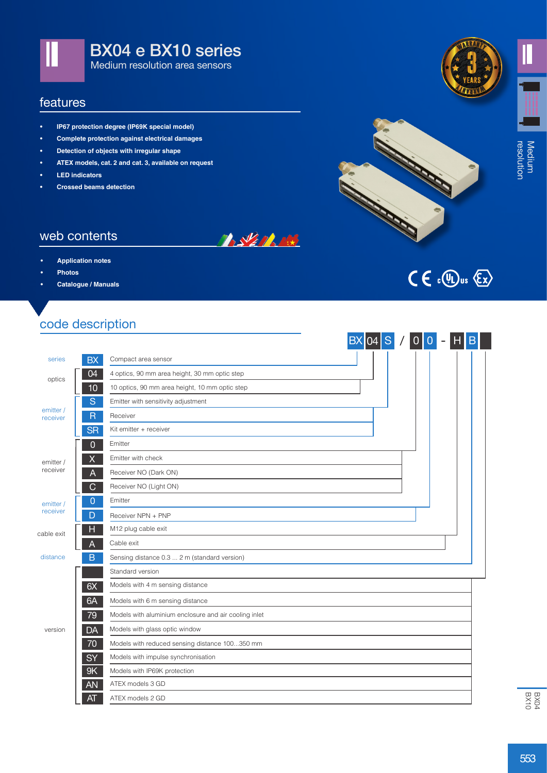

#### features

- **• IP67 protection degree (IP69K special model)**
- **• Complete protection against electrical damages**
- **• Detection of objects with irregular shape**
- **• ATEX models, cat. 2 and cat. 3, available on request**
- **• LED indicators**

web contents

**• Photos**

**• Application notes**

**• Crossed beams detection**







# $C \in \mathbb{C}$   $\mathbb{Q}_D$  us  $\langle \mathbb{Z} \rangle$

#### code description

**• Catalogue / Manuals**

|                       |                         | <b>BX</b>                                             |  | 04 S / 0 0 - H | <b>IB</b> |
|-----------------------|-------------------------|-------------------------------------------------------|--|----------------|-----------|
| series                | <b>BX</b>               | Compact area sensor                                   |  |                |           |
| optics                | 04                      | 4 optics, 90 mm area height, 30 mm optic step         |  |                |           |
|                       | 10                      | 10 optics, 90 mm area height, 10 mm optic step        |  |                |           |
| emitter /<br>receiver | S                       | Emitter with sensitivity adjustment                   |  |                |           |
|                       | $\overline{\mathsf{R}}$ | Receiver                                              |  |                |           |
|                       | <b>SR</b>               | Kit emitter + receiver                                |  |                |           |
|                       | $\Omega$                | Emitter                                               |  |                |           |
| emitter /             | X                       | Emitter with check                                    |  |                |           |
| receiver              | A                       | Receiver NO (Dark ON)                                 |  |                |           |
|                       | С                       | Receiver NO (Light ON)                                |  |                |           |
| emitter /<br>receiver | 0                       | Emitter                                               |  |                |           |
|                       | D                       | Receiver NPN + PNP                                    |  |                |           |
| cable exit            | н                       | M12 plug cable exit                                   |  |                |           |
|                       | A                       | Cable exit                                            |  |                |           |
| distance              | B                       | Sensing distance 0.3  2 m (standard version)          |  |                |           |
|                       |                         | Standard version                                      |  |                |           |
|                       | 6X                      | Models with 4 m sensing distance                      |  |                |           |
|                       | 6A                      | Models with 6 m sensing distance                      |  |                |           |
|                       | 79                      | Models with aluminium enclosure and air cooling inlet |  |                |           |
| version               | <b>DA</b>               | Models with glass optic window                        |  |                |           |
|                       | 70                      | Models with reduced sensing distance 100350 mm        |  |                |           |
|                       | SY                      | Models with impulse synchronisation                   |  |                |           |
|                       | 9K                      | Models with IP69K protection                          |  |                |           |
|                       | AN                      | ATEX models 3 GD                                      |  |                |           |
|                       | AT                      | ATEX models 2 GD                                      |  |                |           |

**TASKEP RES** 

553BX10 BX04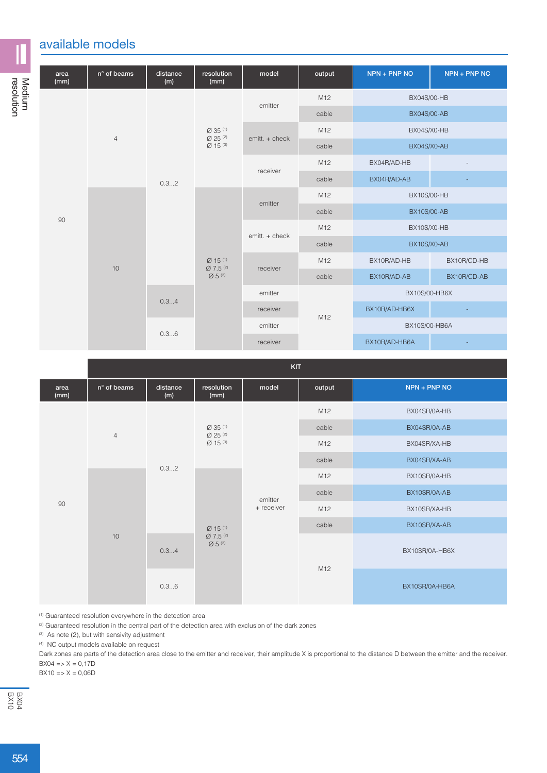## available models

| area<br>(mm) | $n^{\circ}$ of beams | distance<br>(m) | resolution<br>(mm)                                          | model            | output      | $NPN + PNP NO$     | NPN + PNP NC |  |  |
|--------------|----------------------|-----------------|-------------------------------------------------------------|------------------|-------------|--------------------|--------------|--|--|
|              | $\overline{4}$       | 0.32            | $Ø$ 35 $(1)$<br>$Ø25^{(2)}$<br>$Ø 15^{(3)}$                 | emitter          | M12         | BX04S/00-HB        |              |  |  |
|              |                      |                 |                                                             |                  | cable       | <b>BX04S/00-AB</b> |              |  |  |
|              |                      |                 |                                                             | emitt. + check   | M12         | BX04S/X0-HB        |              |  |  |
|              |                      |                 |                                                             |                  | cable       |                    | BX04S/X0-AB  |  |  |
|              |                      |                 |                                                             | receiver         | M12         | BX04R/AD-HB        |              |  |  |
|              |                      |                 |                                                             |                  | cable       | BX04R/AD-AB        |              |  |  |
|              | 10                   |                 |                                                             | emitter          | M12         |                    | BX10S/00-HB  |  |  |
| 90           |                      |                 | $Ø$ 15 <sup>(1)</sup><br>Ø7.5 <sup>(2)</sup><br>$Ø 5^{(3)}$ |                  | cable       | <b>BX10S/00-AB</b> |              |  |  |
|              |                      |                 |                                                             | $emitt. + check$ | M12         | BX10S/X0-HB        |              |  |  |
|              |                      |                 |                                                             |                  | cable       | BX10S/X0-AB        |              |  |  |
|              |                      |                 |                                                             | M12<br>receiver  | BX10R/AD-HB | BX10R/CD-HB        |              |  |  |
|              |                      |                 |                                                             | cable            |             | BX10R/AD-AB        | BX10R/CD-AB  |  |  |
|              |                      | 0.34            |                                                             | emitter          |             | BX10S/00-HB6X      |              |  |  |
|              |                      |                 |                                                             | receiver         | M12         | BX10R/AD-HB6X      |              |  |  |
|              |                      | 0.36            |                                                             | emitter          |             | BX10S/00-HB6A      |              |  |  |
|              |                      |                 |                                                             | receiver         |             | BX10R/AD-HB6A      |              |  |  |

KIT

|              | .              |                      |                                                                |                       |        |                |
|--------------|----------------|----------------------|----------------------------------------------------------------|-----------------------|--------|----------------|
| area<br>(mm) | n° of beams    | distance<br>(m)      | resolution<br>(mm)                                             | model                 | output | NPN + PNP NO   |
|              | $\overline{4}$ | 0.32<br>0.34<br>0.36 | $Ø35^{(1)}$<br>$\varnothing$ 25 <sup>(2)</sup><br>$Ø 15^{(3)}$ | emitter<br>+ receiver | M12    | BX04SR/0A-HB   |
|              |                |                      |                                                                |                       | cable  | BX04SR/0A-AB   |
|              |                |                      |                                                                |                       | M12    | BX04SR/XA-HB   |
|              |                |                      |                                                                |                       | cable  | BX04SR/XA-AB   |
|              |                |                      | $Ø$ 15 <sup>(1)</sup><br>Ø7.5 <sup>(2)</sup><br>$Ø5^{(3)}$     |                       | M12    | BX10SR/0A-HB   |
|              |                |                      |                                                                |                       | cable  | BX10SR/0A-AB   |
| 90           |                |                      |                                                                |                       | M12    | BX10SR/XA-HB   |
|              |                |                      |                                                                |                       | cable  | BX10SR/XA-AB   |
|              | 10             |                      |                                                                |                       | M12    | BX10SR/0A-HB6X |
|              |                |                      |                                                                |                       |        | BX10SR/0A-HB6A |

(1) Guaranteed resolution everywhere in the detection area

<sup>(2)</sup> Guaranteed resolution in the central part of the detection area with exclusion of the dark zones

(3) As note (2), but with sensivity adjustment

(4) NC output models available on request

Dark zones are parts of the detection area close to the emitter and receiver, their amplitude X is proportional to the distance D between the emitter and the receiver.  $BX04 = > X = 0,17D$ 

 $BX10 = > X = 0,06D$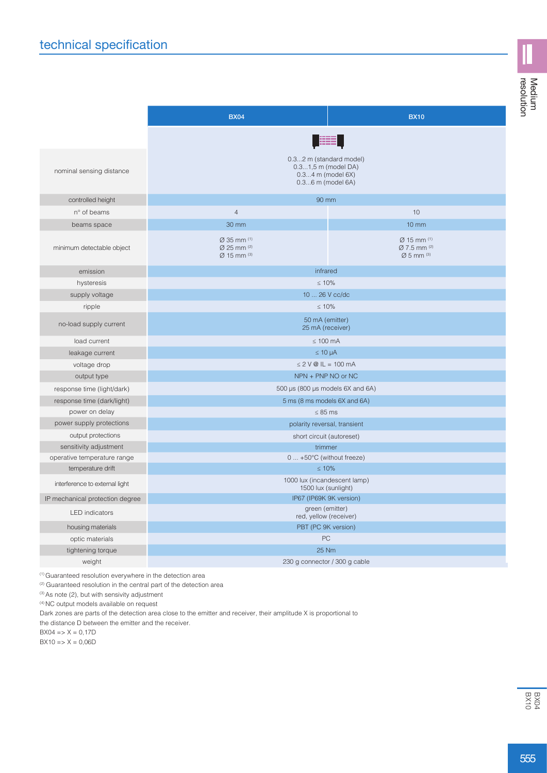|                                 | <b>BX04</b>                                                                                        | <b>BX10</b>                                                           |  |  |  |  |
|---------------------------------|----------------------------------------------------------------------------------------------------|-----------------------------------------------------------------------|--|--|--|--|
|                                 |                                                                                                    |                                                                       |  |  |  |  |
| nominal sensing distance        | 0.32 m (standard model)<br>0.31,5 m (model DA)<br>$0.34$ m (model $6X$ )<br>$0.36$ m (model $6A$ ) |                                                                       |  |  |  |  |
| controlled height               | 90 mm                                                                                              |                                                                       |  |  |  |  |
| n° of beams                     | $\overline{4}$                                                                                     | 10                                                                    |  |  |  |  |
| beams space                     | 30 mm                                                                                              | $10 \, \text{mm}$                                                     |  |  |  |  |
| minimum detectable object       | $\varnothing$ 35 mm $(1)$<br>$\varnothing$ 25 mm (2)<br>$Ø$ 15 mm (3)                              | $Ø$ 15 mm $(1)$<br>$\varnothing$ 7.5 mm (2)<br>$\varnothing$ 5 mm (3) |  |  |  |  |
| emission                        | infrared                                                                                           |                                                                       |  |  |  |  |
| hysteresis                      | $\leq 10\%$                                                                                        |                                                                       |  |  |  |  |
| supply voltage                  | 10  26 V cc/dc                                                                                     |                                                                       |  |  |  |  |
| ripple                          | $\leq 10\%$                                                                                        |                                                                       |  |  |  |  |
| no-load supply current          | 50 mA (emitter)<br>25 mA (receiver)                                                                |                                                                       |  |  |  |  |
| load current                    | $\leq 100$ mA                                                                                      |                                                                       |  |  |  |  |
| leakage current                 | $\leq 10 \mu A$                                                                                    |                                                                       |  |  |  |  |
| voltage drop                    | $\leq$ 2 V @ IL = 100 mA                                                                           |                                                                       |  |  |  |  |
| output type                     | NPN + PNP NO or NC                                                                                 |                                                                       |  |  |  |  |
| response time (light/dark)      | 500 µs (800 µs models 6X and 6A)                                                                   |                                                                       |  |  |  |  |
| response time (dark/light)      | 5 ms (8 ms models 6X and 6A)                                                                       |                                                                       |  |  |  |  |
| power on delay                  | $\leq 85$ ms                                                                                       |                                                                       |  |  |  |  |
| power supply protections        | polarity reversal, transient                                                                       |                                                                       |  |  |  |  |
| output protections              | short circuit (autoreset)                                                                          |                                                                       |  |  |  |  |
| sensitivity adjustment          | trimmer                                                                                            |                                                                       |  |  |  |  |
| operative temperature range     | 0  +50°C (without freeze)                                                                          |                                                                       |  |  |  |  |
| temperature drift               | $\leq 10\%$                                                                                        |                                                                       |  |  |  |  |
| interference to external light  | 1000 lux (incandescent lamp)<br>1500 lux (sunlight)                                                |                                                                       |  |  |  |  |
| IP mechanical protection degree | IP67 (IP69K 9K version)                                                                            |                                                                       |  |  |  |  |
| <b>LED</b> indicators           | green (emitter)<br>red, yellow (receiver)                                                          |                                                                       |  |  |  |  |
| housing materials               | PBT (PC 9K version)                                                                                |                                                                       |  |  |  |  |
| optic materials                 | PC                                                                                                 |                                                                       |  |  |  |  |
| tightening torque               | <b>25 Nm</b>                                                                                       |                                                                       |  |  |  |  |
| weight                          | 230 g connector / 300 g cable                                                                      |                                                                       |  |  |  |  |

(1) Guaranteed resolution everywhere in the detection area

(2) Guaranteed resolution in the central part of the detection area

(3) As note (2), but with sensivity adjustment

 $(4)$  NC output models available on request

Dark zones are parts of the detection area close to the emitter and receiver, their amplitude X is proportional to

the distance D between the emitter and the receiver.

 $BX04 = X = 0,17D$ 

 $BX10 = > X = 0,06D$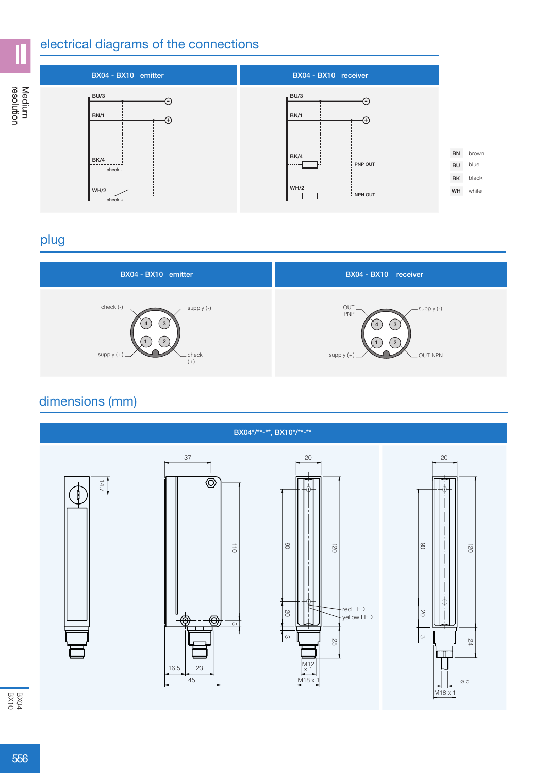#### electrical diagrams of the connections



## plug



## dimensions (mm)



 $rac{604}{6040}$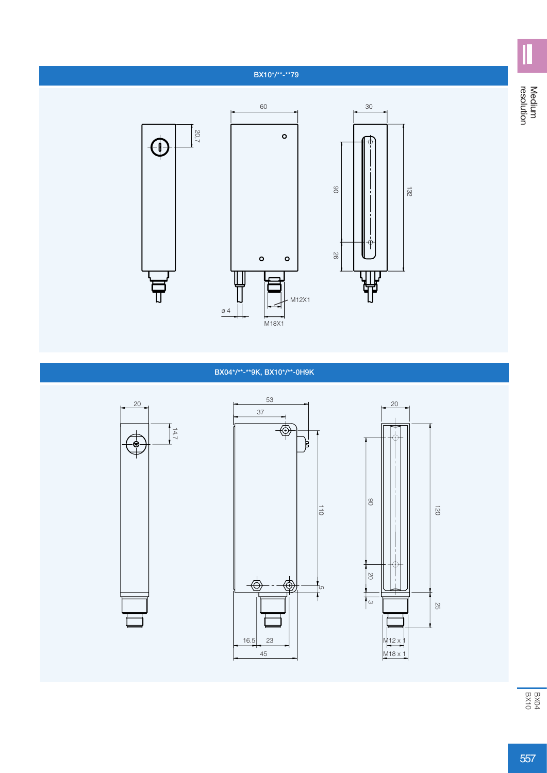#### BX10\*/\*\*-\*\*79



#### BX04\*/\*\*-\*\*9K, BX10\*/\*\*-0H9K







Medium<br>resolution resolution Medium

Ш

557<br>BX10<br>BX10<br>BX10